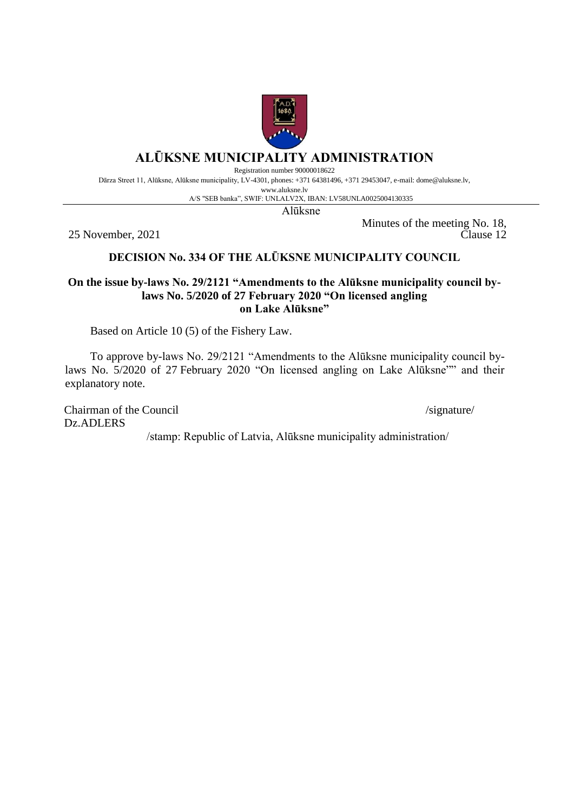

# **ALŪKSNE MUNICIPALITY ADMINISTRATION**

Registration number 90000018622

Dārza Street 11, Alūksne, Alūksne municipality, LV-4301, phones: +371 64381496, +371 29453047, e-mail: dome@aluksne.lv,

www.aluksne.lv A/S "SEB banka", SWIF: UNLALV2X, IBAN: LV58UNLA0025004130335

Alūksne

25 November, 2021

Minutes of the meeting No. 18, Clause 12

## **DECISION No. 334 OF THE ALŪKSNE MUNICIPALITY COUNCIL**

#### **On the issue by-laws No. 29/2121 "Amendments to the Alūksne municipality council bylaws No. 5/2020 of 27 February 2020 "On licensed angling on Lake Alūksne"**

Based on Article 10 (5) of the Fishery Law.

To approve by-laws No. 29/2121 "Amendments to the Alūksne municipality council bylaws No. 5/2020 of 27 February 2020 "On licensed angling on Lake Alūksne"" and their explanatory note.

Chairman of the Council /signature/ Dz.ADLERS

/stamp: Republic of Latvia, Alūksne municipality administration/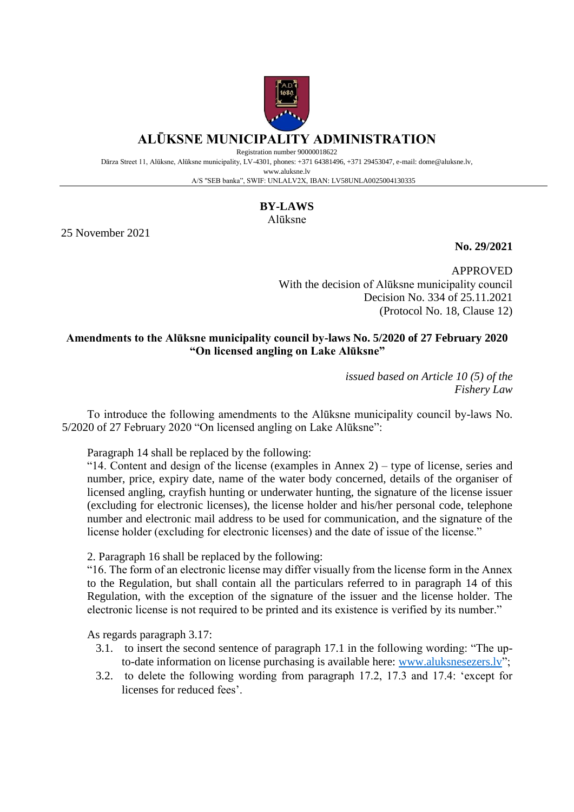

## **ALŪKSNE MUNICIPALITY ADMINISTRATION**

Registration number 90000018622

Dārza Street 11, Alūksne, Alūksne municipality, LV-4301, phones: +371 64381496, +371 29453047, e-mail: dome@aluksne.lv, www.aluksne.lv

A/S "SEB banka", SWIF: UNLALV2X, IBAN: LV58UNLA0025004130335

#### **BY-LAWS**

Alūksne

25 November 2021

**No. 29/2021**

APPROVED With the decision of Alūksne municipality council Decision No. 334 of 25.11.2021 (Protocol No. 18, Clause 12)

### **Amendments to the Alūksne municipality council by-laws No. 5/2020 of 27 February 2020 "On licensed angling on Lake Alūksne"**

*issued based on Article 10 (5) of the Fishery Law*

To introduce the following amendments to the Alūksne municipality council by-laws No. 5/2020 of 27 February 2020 "On licensed angling on Lake Alūksne":

Paragraph 14 shall be replaced by the following:

"14. Content and design of the license (examples in Annex  $2$ ) – type of license, series and number, price, expiry date, name of the water body concerned, details of the organiser of licensed angling, crayfish hunting or underwater hunting, the signature of the license issuer (excluding for electronic licenses), the license holder and his/her personal code, telephone number and electronic mail address to be used for communication, and the signature of the license holder (excluding for electronic licenses) and the date of issue of the license."

2. Paragraph 16 shall be replaced by the following:

"16. The form of an electronic license may differ visually from the license form in the Annex to the Regulation, but shall contain all the particulars referred to in paragraph 14 of this Regulation, with the exception of the signature of the issuer and the license holder. The electronic license is not required to be printed and its existence is verified by its number."

As regards paragraph 3.17:

- 3.1. to insert the second sentence of paragraph 17.1 in the following wording: "The upto-date information on license purchasing is available here: [www.aluksnesezers.lv"](http://www.aluksnesezers.lv/);
- 3.2. to delete the following wording from paragraph 17.2, 17.3 and 17.4: 'except for licenses for reduced fees'.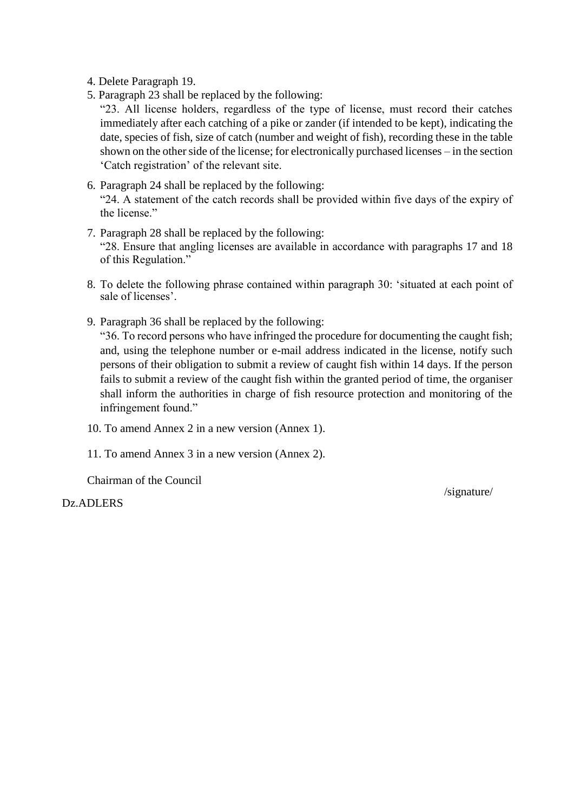4. Delete Paragraph 19.

5. Paragraph 23 shall be replaced by the following:

"23. All license holders, regardless of the type of license, must record their catches immediately after each catching of a pike or zander (if intended to be kept), indicating the date, species of fish, size of catch (number and weight of fish), recording these in the table shown on the other side of the license; for electronically purchased licenses – in the section 'Catch registration' of the relevant site.

- 6. Paragraph 24 shall be replaced by the following: "24. A statement of the catch records shall be provided within five days of the expiry of the license."
- 7. Paragraph 28 shall be replaced by the following: "28. Ensure that angling licenses are available in accordance with paragraphs 17 and 18 of this Regulation."
- 8. To delete the following phrase contained within paragraph 30: 'situated at each point of sale of licenses'.
- 9. Paragraph 36 shall be replaced by the following:

"36. To record persons who have infringed the procedure for documenting the caught fish; and, using the telephone number or e-mail address indicated in the license, notify such persons of their obligation to submit a review of caught fish within 14 days. If the person fails to submit a review of the caught fish within the granted period of time, the organiser shall inform the authorities in charge of fish resource protection and monitoring of the infringement found."

10. To amend Annex 2 in a new version (Annex 1).

11. To amend Annex 3 in a new version (Annex 2).

Chairman of the Council

Dz.ADLERS

/signature/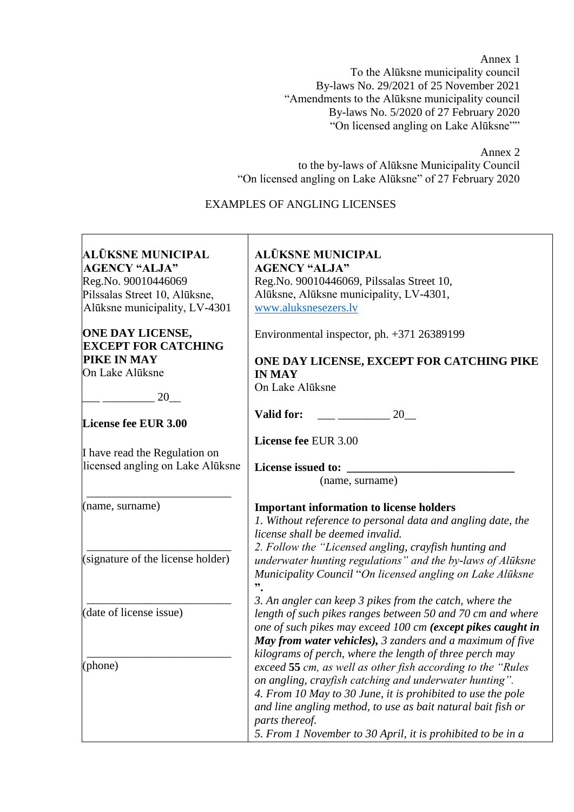Annex 1 To the Alūksne municipality council By-laws No. 29/2021 of 25 November 2021 "Amendments to the Alūksne municipality council By-laws No. 5/2020 of 27 February 2020 "On licensed angling on Lake Alūksne""

Annex 2

to the by-laws of Alūksne Municipality Council "On licensed angling on Lake Alūksne" of 27 February 2020

### EXAMPLES OF ANGLING LICENSES

| ALŪKSNE MUNICIPAL                                     | <b>ALŪKSNE MUNICIPAL</b>                                                                                                                        |  |  |  |
|-------------------------------------------------------|-------------------------------------------------------------------------------------------------------------------------------------------------|--|--|--|
| <b>AGENCY "ALJA"</b>                                  | <b>AGENCY "ALJA"</b>                                                                                                                            |  |  |  |
| Reg.No. 90010446069                                   | Reg.No. 90010446069, Pilssalas Street 10,                                                                                                       |  |  |  |
| Pilssalas Street 10, Alūksne,                         | Alūksne, Alūksne municipality, LV-4301,                                                                                                         |  |  |  |
| Alūksne municipality, LV-4301                         | www.aluksnesezers.lv                                                                                                                            |  |  |  |
| <b>ONE DAY LICENSE,</b><br><b>EXCEPT FOR CATCHING</b> | Environmental inspector, ph. +371 26389199                                                                                                      |  |  |  |
| PIKE IN MAY                                           | ONE DAY LICENSE, EXCEPT FOR CATCHING PIKE                                                                                                       |  |  |  |
| On Lake Alūksne                                       | <b>IN MAY</b>                                                                                                                                   |  |  |  |
| 20                                                    | On Lake Alūksne                                                                                                                                 |  |  |  |
|                                                       | Valid for:<br>20                                                                                                                                |  |  |  |
| License fee EUR 3.00                                  |                                                                                                                                                 |  |  |  |
| I have read the Regulation on                         | License fee EUR 3.00                                                                                                                            |  |  |  |
| licensed angling on Lake Alūksne                      | License issued to:                                                                                                                              |  |  |  |
|                                                       | (name, surname)                                                                                                                                 |  |  |  |
| (name, surname)                                       | <b>Important information to license holders</b>                                                                                                 |  |  |  |
|                                                       | 1. Without reference to personal data and angling date, the                                                                                     |  |  |  |
|                                                       | license shall be deemed invalid.                                                                                                                |  |  |  |
|                                                       | 2. Follow the "Licensed angling, crayfish hunting and                                                                                           |  |  |  |
| (signature of the license holder)                     | underwater hunting regulations" and the by-laws of Alūksne<br>Municipality Council "On licensed angling on Lake Alūksne<br>$\ddot{\phantom{1}}$ |  |  |  |
|                                                       | 3. An angler can keep 3 pikes from the catch, where the                                                                                         |  |  |  |
| (date of license issue)                               | length of such pikes ranges between 50 and 70 cm and where<br>one of such pikes may exceed 100 cm (except pikes caught in                       |  |  |  |
|                                                       | May from water vehicles), 3 zanders and a maximum of five<br>kilograms of perch, where the length of three perch may                            |  |  |  |
| (phone)                                               | exceed 55 cm, as well as other fish according to the "Rules"                                                                                    |  |  |  |
|                                                       | on angling, crayfish catching and underwater hunting".                                                                                          |  |  |  |
|                                                       | 4. From 10 May to 30 June, it is prohibited to use the pole                                                                                     |  |  |  |
|                                                       | and line angling method, to use as bait natural bait fish or                                                                                    |  |  |  |
|                                                       | parts thereof.                                                                                                                                  |  |  |  |
|                                                       | 5. From 1 November to 30 April, it is prohibited to be in a                                                                                     |  |  |  |
|                                                       |                                                                                                                                                 |  |  |  |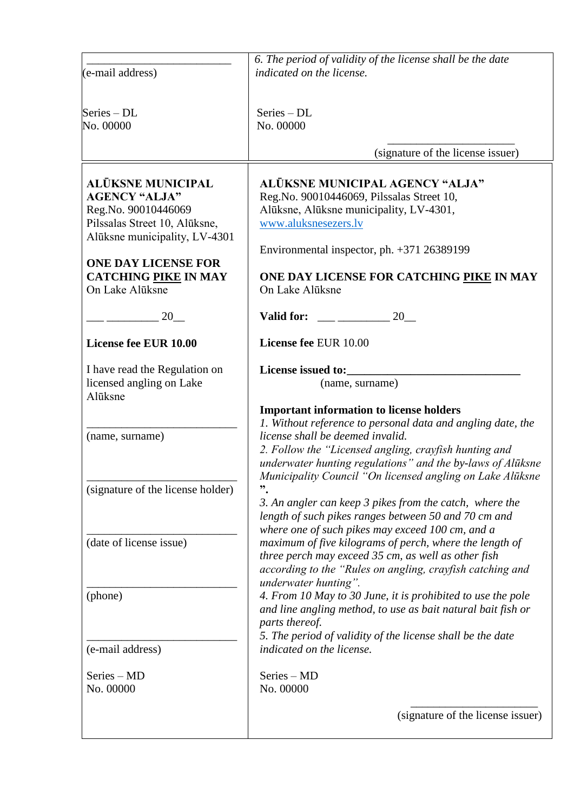| (e-mail address)                                                                                                                                                                                                   | 6. The period of validity of the license shall be the date<br>indicated on the license.                                                                                                                                                                                                                                                                                                                                                                                                                                                                                                                                                                                                                                                                                                                                                                                                                                                                                                                                           |  |  |
|--------------------------------------------------------------------------------------------------------------------------------------------------------------------------------------------------------------------|-----------------------------------------------------------------------------------------------------------------------------------------------------------------------------------------------------------------------------------------------------------------------------------------------------------------------------------------------------------------------------------------------------------------------------------------------------------------------------------------------------------------------------------------------------------------------------------------------------------------------------------------------------------------------------------------------------------------------------------------------------------------------------------------------------------------------------------------------------------------------------------------------------------------------------------------------------------------------------------------------------------------------------------|--|--|
| Series - DL<br>No. 00000                                                                                                                                                                                           | Series - DL<br>No. 00000                                                                                                                                                                                                                                                                                                                                                                                                                                                                                                                                                                                                                                                                                                                                                                                                                                                                                                                                                                                                          |  |  |
|                                                                                                                                                                                                                    | (signature of the license issuer)                                                                                                                                                                                                                                                                                                                                                                                                                                                                                                                                                                                                                                                                                                                                                                                                                                                                                                                                                                                                 |  |  |
| ALŪKSNE MUNICIPAL<br><b>AGENCY "ALJA"</b><br>Reg.No. 90010446069<br>Pilssalas Street 10, Alūksne,<br>Alūksne municipality, LV-4301<br><b>ONE DAY LICENSE FOR</b><br><b>CATCHING PIKE IN MAY</b><br>On Lake Alūksne | <b>ALŪKSNE MUNICIPAL AGENCY "ALJA"</b><br>Reg.No. 90010446069, Pilssalas Street 10,<br>Alūksne, Alūksne municipality, LV-4301,<br>www.aluksnesezers.lv<br>Environmental inspector, ph. +371 26389199<br>ONE DAY LICENSE FOR CATCHING PIKE IN MAY<br>On Lake Alūksne                                                                                                                                                                                                                                                                                                                                                                                                                                                                                                                                                                                                                                                                                                                                                               |  |  |
| 20                                                                                                                                                                                                                 | Valid for:<br>20                                                                                                                                                                                                                                                                                                                                                                                                                                                                                                                                                                                                                                                                                                                                                                                                                                                                                                                                                                                                                  |  |  |
| License fee EUR 10.00                                                                                                                                                                                              | License fee EUR 10.00                                                                                                                                                                                                                                                                                                                                                                                                                                                                                                                                                                                                                                                                                                                                                                                                                                                                                                                                                                                                             |  |  |
| I have read the Regulation on<br>licensed angling on Lake<br>Alūksne<br>(name, surname)<br>(signature of the license holder)<br>(date of license issue)<br>(phone)<br>(e-mail address)<br>Series - MD              | License issued to:<br>(name, surname)<br><b>Important information to license holders</b><br>1. Without reference to personal data and angling date, the<br>license shall be deemed invalid.<br>2. Follow the "Licensed angling, crayfish hunting and<br>underwater hunting regulations" and the by-laws of Alūksne<br>Municipality Council "On licensed angling on Lake Alūksne<br>$"$ .<br>3. An angler can keep 3 pikes from the catch, where the<br>length of such pikes ranges between 50 and 70 cm and<br>where one of such pikes may exceed 100 cm, and a<br>maximum of five kilograms of perch, where the length of<br>three perch may exceed 35 cm, as well as other fish<br>according to the "Rules on angling, crayfish catching and<br>underwater hunting".<br>4. From 10 May to 30 June, it is prohibited to use the pole<br>and line angling method, to use as bait natural bait fish or<br>parts thereof.<br>5. The period of validity of the license shall be the date<br>indicated on the license.<br>Series – MD |  |  |
| No. 00000                                                                                                                                                                                                          | No. 00000                                                                                                                                                                                                                                                                                                                                                                                                                                                                                                                                                                                                                                                                                                                                                                                                                                                                                                                                                                                                                         |  |  |
|                                                                                                                                                                                                                    | (signature of the license issuer)                                                                                                                                                                                                                                                                                                                                                                                                                                                                                                                                                                                                                                                                                                                                                                                                                                                                                                                                                                                                 |  |  |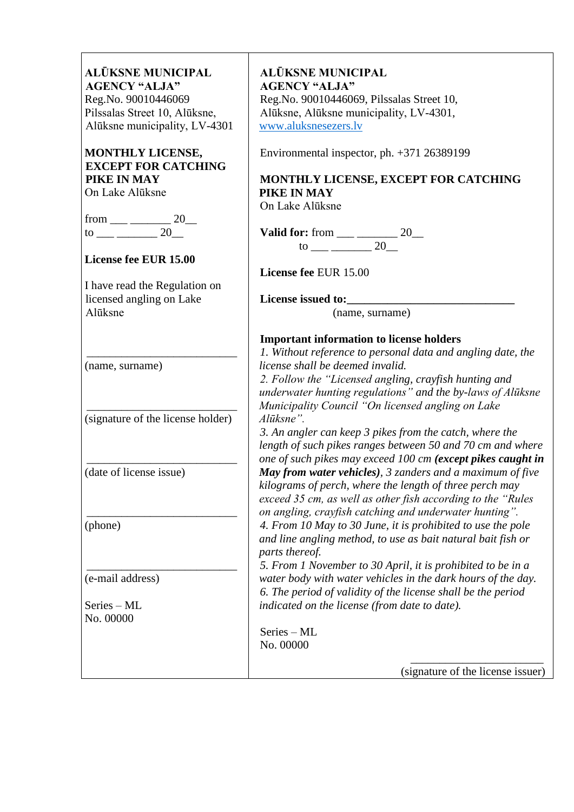| ALŪKSNE MUNICIPAL                              | <b>ALŪKSNE MUNICIPAL</b>                                     |
|------------------------------------------------|--------------------------------------------------------------|
| <b>AGENCY "ALJA"</b>                           | <b>AGENCY "ALJA"</b>                                         |
| Reg.No. 90010446069                            | Reg.No. 90010446069, Pilssalas Street 10,                    |
| Pilssalas Street 10, Alūksne,                  | Alūksne, Alūksne municipality, LV-4301,                      |
| Alūksne municipality, LV-4301                  | www.aluksnesezers.lv                                         |
| MONTHLY LICENSE,<br><b>EXCEPT FOR CATCHING</b> | Environmental inspector, ph. +371 26389199                   |
| PIKE IN MAY                                    | MONTHLY LICENSE, EXCEPT FOR CATCHING                         |
| On Lake Alūksne                                | PIKE IN MAY                                                  |
|                                                | On Lake Alūksne                                              |
| from ___ _________ 20___                       |                                                              |
|                                                | Valid for: from $\_\_\_\_\_\_\_\_2$ 20                       |
|                                                | 20<br>$\frac{\text{to}}{\text{to}}$                          |
| License fee EUR 15.00                          |                                                              |
|                                                | License fee EUR 15.00                                        |
|                                                |                                                              |
| I have read the Regulation on                  |                                                              |
| licensed angling on Lake                       | License issued to:                                           |
| Alūksne                                        | (name, surname)                                              |
|                                                | <b>Important information to license holders</b>              |
|                                                | 1. Without reference to personal data and angling date, the  |
| (name, surname)                                | license shall be deemed invalid.                             |
|                                                | 2. Follow the "Licensed angling, crayfish hunting and        |
|                                                | underwater hunting regulations" and the by-laws of Alūksne   |
|                                                | Municipality Council "On licensed angling on Lake            |
| (signature of the license holder)              | Alūksne".                                                    |
|                                                | 3. An angler can keep 3 pikes from the catch, where the      |
|                                                | length of such pikes ranges between 50 and 70 cm and where   |
|                                                | one of such pikes may exceed 100 cm (except pikes caught in  |
| (date of license issue)                        | May from water vehicles), 3 zanders and a maximum of five    |
|                                                | kilograms of perch, where the length of three perch may      |
|                                                | exceed 35 cm, as well as other fish according to the "Rules" |
|                                                | on angling, crayfish catching and underwater hunting".       |
|                                                |                                                              |
| (phone)                                        | 4. From 10 May to 30 June, it is prohibited to use the pole  |
|                                                | and line angling method, to use as bait natural bait fish or |
|                                                | parts thereof.                                               |
|                                                | 5. From 1 November to 30 April, it is prohibited to be in a  |
| (e-mail address)                               | water body with water vehicles in the dark hours of the day. |
|                                                | 6. The period of validity of the license shall be the period |
| Series - ML                                    | indicated on the license (from date to date).                |
| No. 00000                                      |                                                              |
|                                                | Series - ML                                                  |
|                                                | No. 00000                                                    |
|                                                | (signature of the license issuer)                            |
|                                                |                                                              |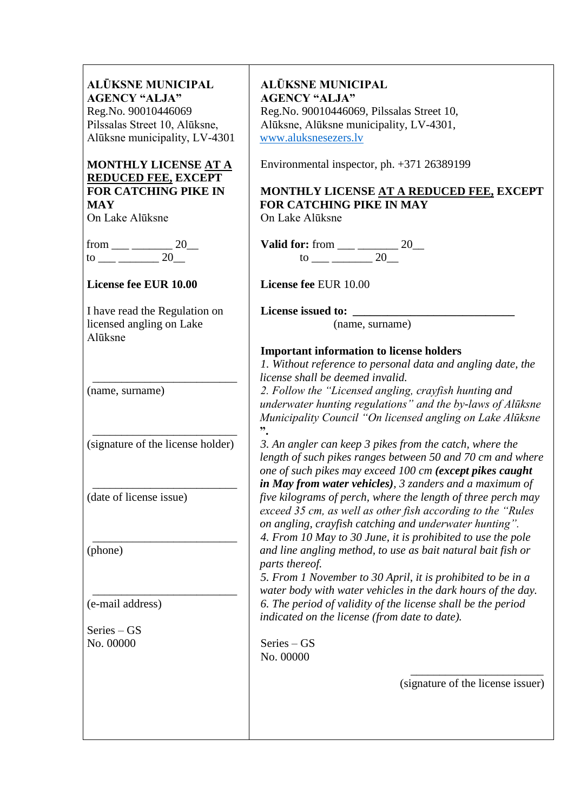| <b>ALŪKSNE MUNICIPAL</b><br><b>AGENCY "ALJA"</b><br>Reg.No. 90010446069<br>Pilssalas Street 10, Alūksne,<br>Alūksne municipality, LV-4301 | <b>ALŪKSNE MUNICIPAL</b><br><b>AGENCY "ALJA"</b><br>Reg.No. 90010446069, Pilssalas Street 10,<br>Alūksne, Alūksne municipality, LV-4301,<br>www.aluksnesezers.lv                                                                                                                    |
|-------------------------------------------------------------------------------------------------------------------------------------------|-------------------------------------------------------------------------------------------------------------------------------------------------------------------------------------------------------------------------------------------------------------------------------------|
| MONTHLY LICENSE AT A<br><b>REDUCED FEE, EXCEPT</b><br><b>FOR CATCHING PIKE IN</b><br><b>MAY</b><br>On Lake Alūksne                        | Environmental inspector, ph. +371 26389199<br>MONTHLY LICENSE AT A REDUCED FEE, EXCEPT<br><b>FOR CATCHING PIKE IN MAY</b><br>On Lake Alūksne                                                                                                                                        |
| from ___ _________ 20__                                                                                                                   |                                                                                                                                                                                                                                                                                     |
| License fee EUR 10.00                                                                                                                     | License fee EUR 10.00                                                                                                                                                                                                                                                               |
| I have read the Regulation on<br>licensed angling on Lake<br>Alūksne                                                                      | (name, surname)<br><b>Important information to license holders</b>                                                                                                                                                                                                                  |
| (name, surname)                                                                                                                           | 1. Without reference to personal data and angling date, the<br>license shall be deemed invalid.<br>2. Follow the "Licensed angling, crayfish hunting and<br>underwater hunting regulations" and the by-laws of Alūksne<br>Municipality Council "On licensed angling on Lake Alūksne |
| (signature of the license holder)                                                                                                         | $"$ .<br>3. An angler can keep 3 pikes from the catch, where the<br>length of such pikes ranges between 50 and 70 cm and where<br>one of such pikes may exceed 100 cm (except pikes caught<br>in May from water vehicles), 3 zanders and a maximum of                               |
| (date of license issue)                                                                                                                   | five kilograms of perch, where the length of three perch may<br>exceed 35 cm, as well as other fish according to the "Rules"<br>on angling, crayfish catching and underwater hunting".<br>4. From 10 May to 30 June, it is prohibited to use the pole                               |
| (phone)                                                                                                                                   | and line angling method, to use as bait natural bait fish or<br>parts thereof.<br>5. From 1 November to 30 April, it is prohibited to be in a<br>water body with water vehicles in the dark hours of the day.                                                                       |
| (e-mail address)                                                                                                                          | 6. The period of validity of the license shall be the period<br>indicated on the license (from date to date).                                                                                                                                                                       |
| $Series - GS$                                                                                                                             |                                                                                                                                                                                                                                                                                     |
| No. 00000                                                                                                                                 | $Series - GS$<br>No. 00000                                                                                                                                                                                                                                                          |
|                                                                                                                                           | (signature of the license issuer)                                                                                                                                                                                                                                                   |
|                                                                                                                                           |                                                                                                                                                                                                                                                                                     |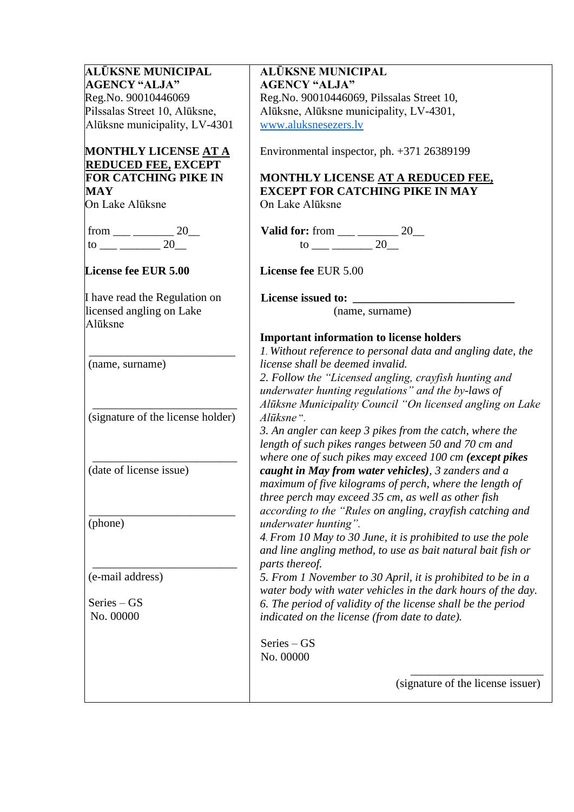| ALŪKSNE MUNICIPAL                                         | <b>ALŪKSNE MUNICIPAL</b>                                                                                       |  |  |  |
|-----------------------------------------------------------|----------------------------------------------------------------------------------------------------------------|--|--|--|
| <b>AGENCY "ALJA"</b>                                      | <b>AGENCY "ALJA"</b>                                                                                           |  |  |  |
| Reg.No. 90010446069                                       | Reg.No. 90010446069, Pilssalas Street 10,                                                                      |  |  |  |
| Pilssalas Street 10, Alūksne,                             | Alūksne, Alūksne municipality, LV-4301,                                                                        |  |  |  |
| Alūksne municipality, LV-4301                             | www.aluksnesezers.lv                                                                                           |  |  |  |
| MONTHLY LICENSE <u>AT A</u><br><b>REDUCED FEE, EXCEPT</b> | Environmental inspector, ph. +371 26389199                                                                     |  |  |  |
| <b>FOR CATCHING PIKE IN</b>                               | MONTHLY LICENSE AT A REDUCED FEE,                                                                              |  |  |  |
| <b>MAY</b>                                                | <b>EXCEPT FOR CATCHING PIKE IN MAY</b>                                                                         |  |  |  |
| On Lake Alūksne                                           | On Lake Alūksne                                                                                                |  |  |  |
|                                                           |                                                                                                                |  |  |  |
| from ___ ________ 20__<br>to ___ ______ 20__              |                                                                                                                |  |  |  |
| <b>License fee EUR 5.00</b>                               | License fee EUR 5.00                                                                                           |  |  |  |
| I have read the Regulation on                             | License issued to:                                                                                             |  |  |  |
| licensed angling on Lake<br>Alūksne                       | (name, surname)                                                                                                |  |  |  |
|                                                           | <b>Important information to license holders</b>                                                                |  |  |  |
|                                                           | 1. Without reference to personal data and angling date, the                                                    |  |  |  |
| (name, surname)                                           | license shall be deemed invalid.                                                                               |  |  |  |
|                                                           | 2. Follow the "Licensed angling, crayfish hunting and                                                          |  |  |  |
|                                                           | underwater hunting regulations" and the by-laws of                                                             |  |  |  |
|                                                           | Alūksne Municipality Council "On licensed angling on Lake                                                      |  |  |  |
| (signature of the license holder)                         | Alūksne".                                                                                                      |  |  |  |
|                                                           | 3. An angler can keep 3 pikes from the catch, where the                                                        |  |  |  |
|                                                           | length of such pikes ranges between 50 and 70 cm and                                                           |  |  |  |
| (date of license issue)                                   | where one of such pikes may exceed 100 cm (except pikes<br>caught in May from water vehicles), 3 zanders and a |  |  |  |
|                                                           | maximum of five kilograms of perch, where the length of                                                        |  |  |  |
|                                                           | three perch may exceed 35 cm, as well as other fish                                                            |  |  |  |
|                                                           | according to the "Rules on angling, crayfish catching and                                                      |  |  |  |
| (phone)                                                   | underwater hunting".                                                                                           |  |  |  |
|                                                           | 4. From 10 May to 30 June, it is prohibited to use the pole                                                    |  |  |  |
|                                                           | and line angling method, to use as bait natural bait fish or                                                   |  |  |  |
|                                                           | parts thereof.                                                                                                 |  |  |  |
| (e-mail address)                                          | 5. From 1 November to 30 April, it is prohibited to be in a                                                    |  |  |  |
|                                                           | water body with water vehicles in the dark hours of the day.                                                   |  |  |  |
| $Series - GS$                                             | 6. The period of validity of the license shall be the period                                                   |  |  |  |
| No. 00000                                                 | indicated on the license (from date to date).                                                                  |  |  |  |
|                                                           | $Series - GS$                                                                                                  |  |  |  |
|                                                           | No. 00000                                                                                                      |  |  |  |
|                                                           | (signature of the license issuer)                                                                              |  |  |  |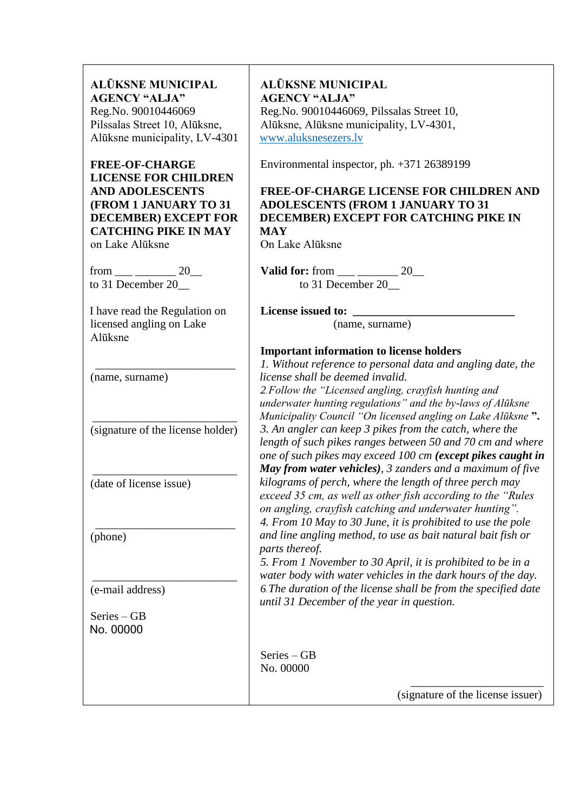**ALŪKSNE MUNICIPAL AGENCY "ALJA"** Reg.No. 90010446069 Pilssalas Street 10, Alūksne, Alūksne municipality, LV-4301

**FREE-OF-CHARGE LICENSE FOR CHILDREN AND ADOLESCENTS (FROM 1 JANUARY TO 31 DECEMBER) EXCEPT FOR CATCHING PIKE IN MAY** on Lake Alūksne

from \_\_\_ \_\_\_\_\_\_\_ 20\_\_ to 31 December 20

I have read the Regulation on licensed angling on Lake Alūksne

(name, surname)

\_\_\_\_\_\_\_\_\_\_\_\_\_\_\_\_\_\_\_\_\_\_\_\_\_ (signature of the license holder)

\_\_\_\_\_\_\_\_\_\_\_\_\_\_\_\_\_\_\_\_\_\_\_\_\_

 $\overline{\phantom{a}}$  , where  $\overline{\phantom{a}}$  , where  $\overline{\phantom{a}}$  , where  $\overline{\phantom{a}}$  , where  $\overline{\phantom{a}}$ 

\_\_\_\_\_\_\_\_\_\_\_\_\_\_\_\_\_\_\_\_\_\_\_\_\_ (date of license issue)

\_\_\_\_\_\_\_\_\_\_\_\_\_\_\_\_\_\_\_\_\_\_ (phone)

(e-mail address)

Series – GB No. 00000

**ALŪKSNE MUNICIPAL AGENCY "ALJA"** Reg.No. 90010446069, Pilssalas Street 10, Alūksne, Alūksne municipality, LV-4301, [www.aluksnesezers.lv](http://www.aluksnesezers.lv/)

Environmental inspector, ph. +371 26389199

**FREE-OF-CHARGE LICENSE FOR CHILDREN AND ADOLESCENTS (FROM 1 JANUARY TO 31 DECEMBER) EXCEPT FOR CATCHING PIKE IN MAY**

On Lake Alūksne

**Valid for:** from \_\_\_ \_\_\_\_\_\_\_\_ 20\_\_ to 31 December 20

**License issued to: \_\_\_\_\_\_\_\_\_\_\_\_\_\_\_\_\_\_\_\_\_\_\_\_\_\_\_\_**

(name, surname)

#### **Important information to license holders**

*1. Without reference to personal data and angling date, the license shall be deemed invalid. 2. Follow the "Licensed angling, crayfish hunting and underwater hunting regulations" and the by-laws of Alūksne Municipality Council "On licensed angling on Lake Alūksne* **".** *3. An angler can keep 3 pikes from the catch, where the length of such pikes ranges between 50 and 70 cm and where one of such pikes may exceed 100 cm (except pikes caught in May from water vehicles), 3 zanders and a maximum of five kilograms of perch, where the length of three perch may exceed 35 cm, as well as other fish according to the "Rules on angling, crayfish catching and underwater hunting". 4. From 10 May to 30 June, it is prohibited to use the pole and line angling method, to use as bait natural bait fish or parts thereof. 5. From 1 November to 30 April, it is prohibited to be in a* 

*water body with water vehicles in the dark hours of the day. 6. The duration of the license shall be from the specified date until 31 December of the year in question.*

Series – GB No. 00000

(signature of the license issuer)

\_\_\_\_\_\_\_\_\_\_\_\_\_\_\_\_\_\_\_\_\_\_\_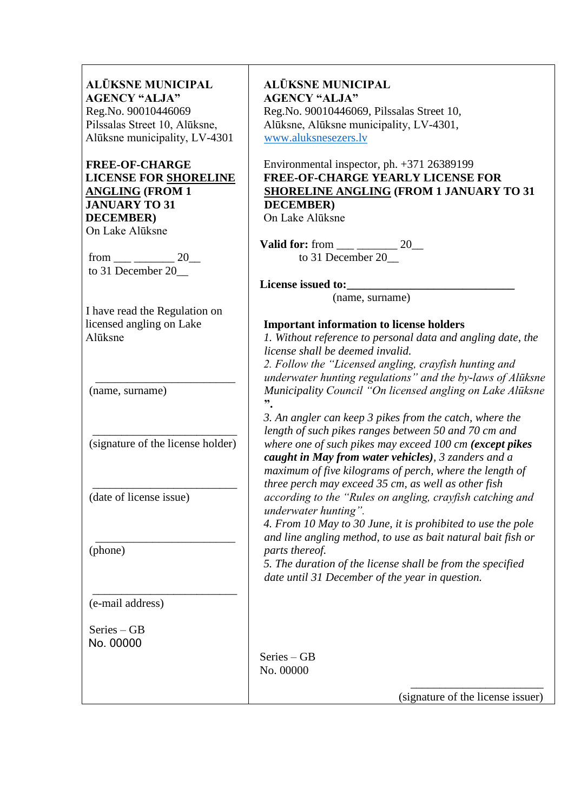| <b>ALŪKSNE MUNICIPAL</b>      |
|-------------------------------|
| <b>AGENCY "ALJA"</b>          |
| Reg.No. 90010446069           |
| Pilssalas Street 10, Alūksne, |
| Alūksne municipality, LV-4301 |

#### **FREE-OF-CHARGE LICENSE FOR SHORELINE ANGLING (FROM 1 JANUARY TO 31 DECEMBER)**  On Lake Alūksne

from \_\_\_ \_\_\_\_\_\_\_ 20\_\_ to 31 December 20

I have read the Regulation on licensed angling on Lake Alūksne

(name, surname)

\_\_\_\_\_\_\_\_\_\_\_\_\_\_\_\_\_\_\_\_\_\_\_\_\_ (signature of the license holder)

\_\_\_\_\_\_\_\_\_\_\_\_\_\_\_\_\_\_\_\_\_\_\_\_\_

 $\overline{\phantom{a}}$  , where  $\overline{\phantom{a}}$  , where  $\overline{\phantom{a}}$  , where  $\overline{\phantom{a}}$  , where  $\overline{\phantom{a}}$ 

\_\_\_\_\_\_\_\_\_\_\_\_\_\_\_\_\_\_\_\_\_\_\_\_\_ (date of license issue)

 $\overline{\phantom{a}}$  , where  $\overline{\phantom{a}}$  , where  $\overline{\phantom{a}}$  , where  $\overline{\phantom{a}}$  , where  $\overline{\phantom{a}}$ (phone)

(e-mail address)

Series – GB No. 00000

**ALŪKSNE MUNICIPAL AGENCY "ALJA"** Reg.No. 90010446069, Pilssalas Street 10, Alūksne, Alūksne municipality, LV-4301, [www.aluksnesezers.lv](http://www.aluksnesezers.lv/)

Environmental inspector, ph. +371 26389199 **FREE-OF-CHARGE YEARLY LICENSE FOR SHORELINE ANGLING (FROM 1 JANUARY TO 31 DECEMBER)**

On Lake Alūksne

**Valid for:** from \_\_\_ \_\_\_\_\_\_\_ 20\_\_ to 31 December 20\_\_

License issued to:

(name, surname)

#### **Important information to license holders**

*1. Without reference to personal data and angling date, the license shall be deemed invalid.*

*2. Follow the "Licensed angling, crayfish hunting and underwater hunting regulations" and the by-laws of Alūksne Municipality Council "On licensed angling on Lake Alūksne* **".**

*3. An angler can keep 3 pikes from the catch, where the length of such pikes ranges between 50 and 70 cm and where one of such pikes may exceed 100 cm (except pikes caught in May from water vehicles), 3 zanders and a maximum of five kilograms of perch, where the length of three perch may exceed 35 cm, as well as other fish according to the "Rules on angling, crayfish catching and underwater hunting".*

*4. From 10 May to 30 June, it is prohibited to use the pole and line angling method, to use as bait natural bait fish or parts thereof.*

*5. The duration of the license shall be from the specified date until 31 December of the year in question.*

Series – GB No. 00000

(signature of the license issuer)

\_\_\_\_\_\_\_\_\_\_\_\_\_\_\_\_\_\_\_\_\_\_\_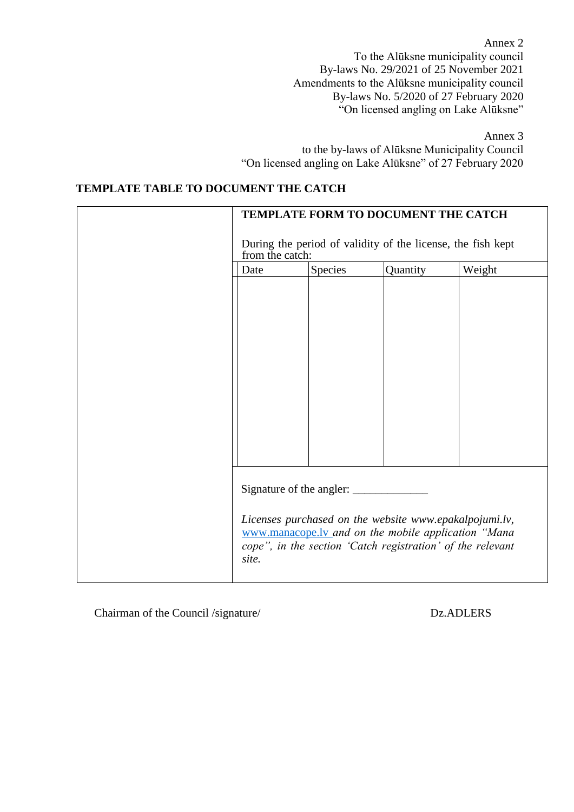Annex 2 To the Alūksne municipality council By-laws No. 29/2021 of 25 November 2021 Amendments to the Alūksne municipality council By-laws No. 5/2020 of 27 February 2020 "On licensed angling on Lake Alūksne"

Annex 3

to the by-laws of Alūksne Municipality Council "On licensed angling on Lake Alūksne" of 27 February 2020

### **TEMPLATE TABLE TO DOCUMENT THE CATCH**

|                 |         | TEMPLATE FORM TO DOCUMENT THE CATCH                                                                                                                                         |        |
|-----------------|---------|-----------------------------------------------------------------------------------------------------------------------------------------------------------------------------|--------|
| from the catch: |         | During the period of validity of the license, the fish kept                                                                                                                 |        |
| Date            | Species | Quantity                                                                                                                                                                    | Weight |
|                 |         |                                                                                                                                                                             |        |
| site.           |         | Licenses purchased on the website www.epakalpojumi.lv,<br>www.manacope.ly and on the mobile application "Mana<br>cope", in the section 'Catch registration' of the relevant |        |

Chairman of the Council /signature/ Dz.ADLERS